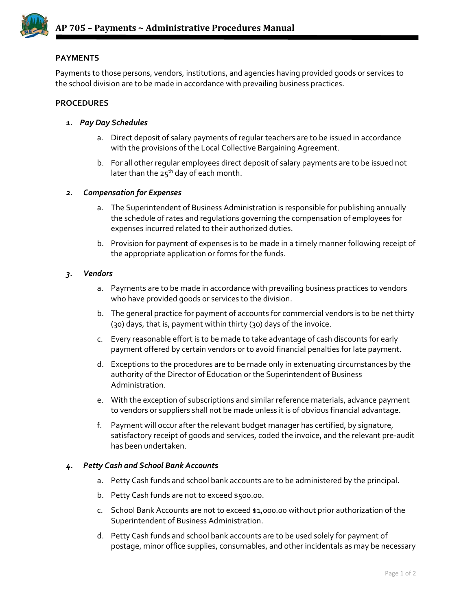

# **PAYMENTS**

Payments to those persons, vendors, institutions, and agencies having provided goods or services to the school division are to be made in accordance with prevailing business practices.

## **PROCEDURES**

- *1. Pay Day Schedules*
	- a. Direct deposit of salary payments of regular teachers are to be issued in accordance with the provisions of the Local Collective Bargaining Agreement.
	- b. For all other regular employees direct deposit of salary payments are to be issued not later than the  $25^{th}$  day of each month.

## *2. Compensation for Expenses*

- a. The Superintendent of Business Administration is responsible for publishing annually the schedule of rates and regulations governing the compensation of employees for expenses incurred related to their authorized duties.
- b. Provision for payment of expenses is to be made in a timely manner following receipt of the appropriate application or forms for the funds.

## *3. Vendors*

- a. Payments are to be made in accordance with prevailing business practices to vendors who have provided goods or services to the division.
- b. The general practice for payment of accounts for commercial vendors is to be net thirty (30) days, that is, payment within thirty (30) days of the invoice.
- c. Every reasonable effort is to be made to take advantage of cash discounts for early payment offered by certain vendors or to avoid financial penalties for late payment.
- d. Exceptions to the procedures are to be made only in extenuating circumstances by the authority of the Director of Education or the Superintendent of Business Administration.
- e. With the exception of subscriptions and similar reference materials, advance payment to vendors or suppliers shall not be made unless it is of obvious financial advantage.
- f. Payment will occur after the relevant budget manager has certified, by signature, satisfactory receipt of goods and services, coded the invoice, and the relevant pre-audit has been undertaken.

#### *4. Petty Cash and School Bank Accounts*

- a. Petty Cash funds and school bank accounts are to be administered by the principal.
- b. Petty Cash funds are not to exceed \$500.00.
- c. School Bank Accounts are not to exceed \$1,000.00 without prior authorization of the Superintendent of Business Administration.
- d. Petty Cash funds and school bank accounts are to be used solely for payment of postage, minor office supplies, consumables, and other incidentals as may be necessary